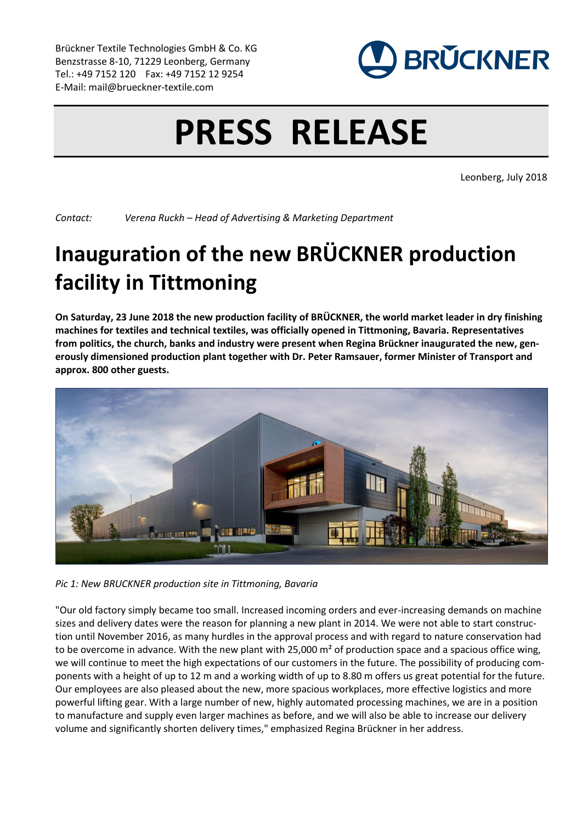Brückner Textile Technologies GmbH & Co. KG Benzstrasse 8-10, 71229 Leonberg, Germany Tel.: +49 7152 120 Fax: +49 7152 12 9254 E-Mail: mail@brueckner-textile.com



## **PRESS RELEASE**

Leonberg, July 2018

*Contact: Verena Ruckh – Head of Advertising & Marketing Department*

## **Inauguration of the new BRÜCKNER production facility in Tittmoning**

**On Saturday, 23 June 2018 the new production facility of BRÜCKNER, the world market leader in dry finishing machines for textiles and technical textiles, was officially opened in Tittmoning, Bavaria. Representatives from politics, the church, banks and industry were present when Regina Brückner inaugurated the new, generously dimensioned production plant together with Dr. Peter Ramsauer, former Minister of Transport and approx. 800 other guests.**



*Pic 1: New BRUCKNER production site in Tittmoning, Bavaria*

"Our old factory simply became too small. Increased incoming orders and ever-increasing demands on machine sizes and delivery dates were the reason for planning a new plant in 2014. We were not able to start construction until November 2016, as many hurdles in the approval process and with regard to nature conservation had to be overcome in advance. With the new plant with 25,000 m<sup>2</sup> of production space and a spacious office wing, we will continue to meet the high expectations of our customers in the future. The possibility of producing components with a height of up to 12 m and a working width of up to 8.80 m offers us great potential for the future. Our employees are also pleased about the new, more spacious workplaces, more effective logistics and more powerful lifting gear. With a large number of new, highly automated processing machines, we are in a position to manufacture and supply even larger machines as before, and we will also be able to increase our delivery volume and significantly shorten delivery times," emphasized Regina Brückner in her address.